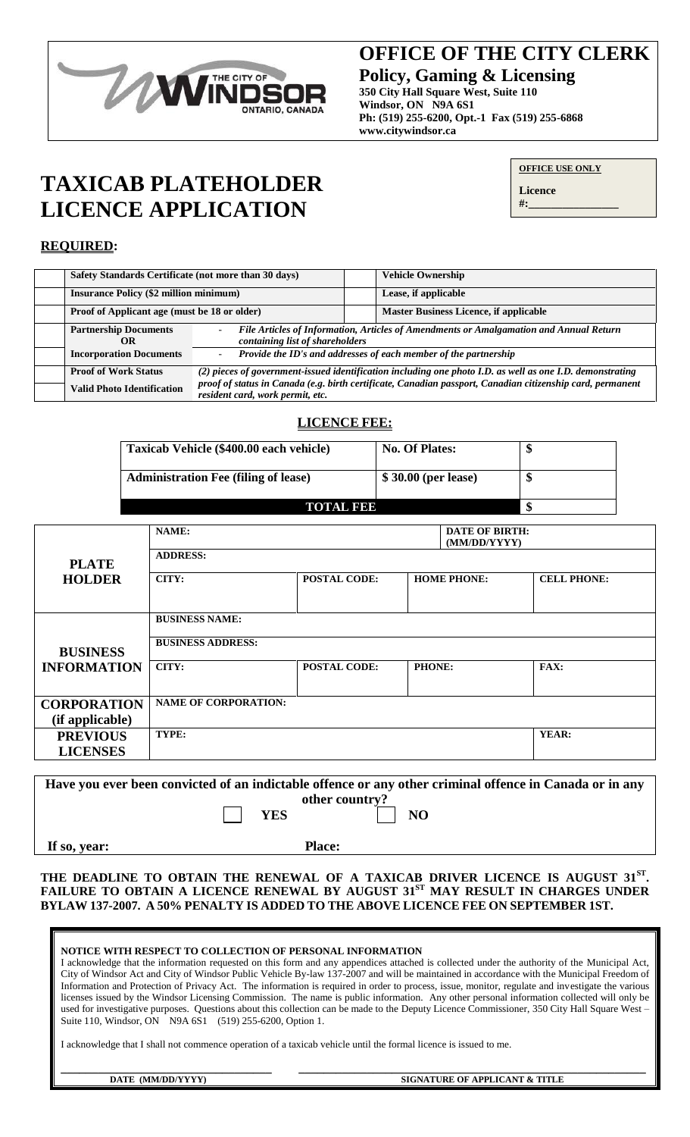

# **OFFICE OF THE CITY CLERK OFFICE OF THE CITY CLERK**

**Policy, Gaming & Licensing Policy, Gaming & Licensing**

**350 City Hall Square West, Suite 110 Windsor, ON N9A 6S1 Windsor, ON N9A 6S1 Ph: (519) 255-6200, Opt.-1 Fax (519) 255-6868 Ph: (519) 255-6200, Opt.-1 Fax (519) 255-6868 www.citywindsor.ca www.citywindsor.ca**

# **TAXICAB PLATEHOLDER LICENCE APPLICATION**

| <b>OFFICE USE ONLY</b> |
|------------------------|
|------------------------|

**Licence #:\_\_\_\_\_\_\_\_\_\_\_\_\_\_\_\_**

### **REQUIRED:**

| Safety Standards Certificate (not more than 30 days) |                                                                                                                                                |  | <b>Vehicle Ownership</b>                      |  |  |
|------------------------------------------------------|------------------------------------------------------------------------------------------------------------------------------------------------|--|-----------------------------------------------|--|--|
| <b>Insurance Policy (\$2 million minimum)</b>        |                                                                                                                                                |  | Lease, if applicable                          |  |  |
| Proof of Applicant age (must be 18 or older)         |                                                                                                                                                |  | <b>Master Business Licence, if applicable</b> |  |  |
| <b>Partnership Documents</b>                         | File Articles of Information, Articles of Amendments or Amalgamation and Annual Return<br>-                                                    |  |                                               |  |  |
| OR                                                   | containing list of shareholders                                                                                                                |  |                                               |  |  |
| <b>Incorporation Documents</b>                       | Provide the ID's and addresses of each member of the partnership<br>$\overline{\phantom{0}}$                                                   |  |                                               |  |  |
| <b>Proof of Work Status</b>                          | (2) pieces of government-issued identification including one photo I.D. as well as one I.D. demonstrating                                      |  |                                               |  |  |
| <b>Valid Photo Identification</b>                    | proof of status in Canada (e.g. birth certificate, Canadian passport, Canadian citizenship card, permanent<br>resident card, work permit, etc. |  |                                               |  |  |
|                                                      |                                                                                                                                                |  |                                               |  |  |

#### **LICENCE FEE:**

| Taxicab Vehicle (\$400.00 each vehicle)     | <b>No. Of Plates:</b> | ٨D |
|---------------------------------------------|-----------------------|----|
| <b>Administration Fee (filing of lease)</b> | \$30.00 (per lease)   |    |
| <b>TOTAL BEE</b>                            |                       |    |

|                    | NAME:<br><b>DATE OF BIRTH:</b><br>(MM/DD/YYYY) |                     |               |                    |                    |
|--------------------|------------------------------------------------|---------------------|---------------|--------------------|--------------------|
| <b>PLATE</b>       | <b>ADDRESS:</b>                                |                     |               |                    |                    |
| <b>HOLDER</b>      | CITY:                                          | <b>POSTAL CODE:</b> |               | <b>HOME PHONE:</b> | <b>CELL PHONE:</b> |
|                    |                                                |                     |               |                    |                    |
|                    | <b>BUSINESS NAME:</b>                          |                     |               |                    |                    |
| <b>BUSINESS</b>    | <b>BUSINESS ADDRESS:</b>                       |                     |               |                    |                    |
| <b>INFORMATION</b> | CITY:                                          | <b>POSTAL CODE:</b> | <b>PHONE:</b> |                    | FAX:               |
|                    |                                                |                     |               |                    |                    |
| <b>CORPORATION</b> | <b>NAME OF CORPORATION:</b>                    |                     |               |                    |                    |
| (if applicable)    |                                                |                     |               |                    |                    |
| <b>PREVIOUS</b>    | TYPE:                                          |                     |               |                    | YEAR:              |
| <b>LICENSES</b>    |                                                |                     |               |                    |                    |

**Have you ever been convicted of an indictable offence or any other criminal offence in Canada or in any other country?** YES NO

If so, year:

#### **THE DEADLINE TO OBTAIN THE RENEWAL OF A TAXICAB DRIVER LICENCE IS AUGUST 31ST . FAILURE TO OBTAIN A LICENCE RENEWAL BY AUGUST 31ST MAY RESULT IN CHARGES UNDER BYLAW 137-2007. A 50% PENALTY IS ADDED TO THE ABOVE LICENCE FEE ON SEPTEMBER 1ST.**

| NOTICE WITH RESPECT TO COLLECTION OF PERSONAL INFORMATION<br>I acknowledge that the information requested on this form and any appendices attached is collected under the authority of the Municipal Act,<br>City of Windsor Act and City of Windsor Public Vehicle By-law 137-2007 and will be maintained in accordance with the Municipal Freedom of<br>Information and Protection of Privacy Act. The information is required in order to process, issue, monitor, regulate and investigate the various<br>licenses issued by the Windsor Licensing Commission. The name is public information. Any other personal information collected will only be<br>used for investigative purposes. Questions about this collection can be made to the Deputy Licence Commissioner, 350 City Hall Square West -<br>Suite 110, Windsor, ON N9A 6S1 (519) 255-6200, Option 1.<br>I acknowledge that I shall not commence operation of a taxicab vehicle until the formal licence is issued to me. |
|------------------------------------------------------------------------------------------------------------------------------------------------------------------------------------------------------------------------------------------------------------------------------------------------------------------------------------------------------------------------------------------------------------------------------------------------------------------------------------------------------------------------------------------------------------------------------------------------------------------------------------------------------------------------------------------------------------------------------------------------------------------------------------------------------------------------------------------------------------------------------------------------------------------------------------------------------------------------------------------|
| SIGNATURE OF APPLICANT & TITLE<br>DATE (MM/DD/YYYY)                                                                                                                                                                                                                                                                                                                                                                                                                                                                                                                                                                                                                                                                                                                                                                                                                                                                                                                                      |